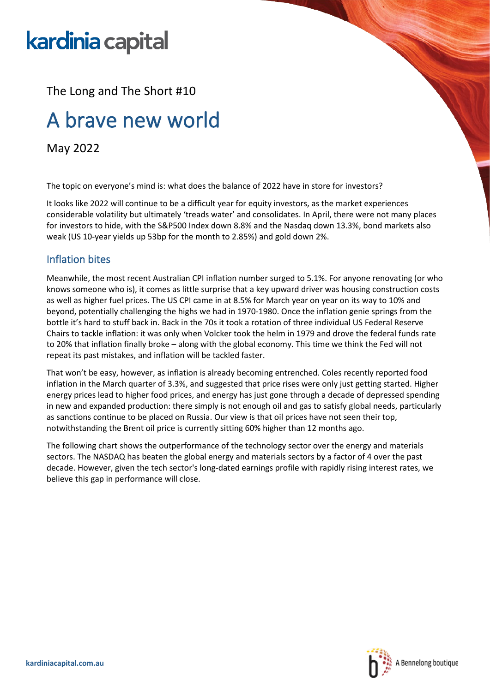# kardinia capital

The Long and The Short #10

## A brave new world

May 2022

The topic on everyone's mind is: what does the balance of 2022 have in store for investors?

It looks like 2022 will continue to be a difficult year for equity investors, as the market experiences considerable volatility but ultimately 'treads water' and consolidates. In April, there were not many places for investors to hide, with the S&P500 Index down 8.8% and the Nasdaq down 13.3%, bond markets also weak (US 10-year yields up 53bp for the month to 2.85%) and gold down 2%.

### Inflation bites

Meanwhile, the most recent Australian CPI inflation number surged to 5.1%. For anyone renovating (or who knows someone who is), it comes as little surprise that a key upward driver was housing construction costs as well as higher fuel prices. The US CPI came in at 8.5% for March year on year on its way to 10% and beyond, potentially challenging the highs we had in 1970-1980. Once the inflation genie springs from the bottle it's hard to stuff back in. Back in the 70s it took a rotation of three individual US Federal Reserve Chairs to tackle inflation: it was only when Volcker took the helm in 1979 and drove the federal funds rate to 20% that inflation finally broke – along with the global economy. This time we think the Fed will not repeat its past mistakes, and inflation will be tackled faster.

That won't be easy, however, as inflation is already becoming entrenched. Coles recently reported food inflation in the March quarter of 3.3%, and suggested that price rises were only just getting started. Higher energy prices lead to higher food prices, and energy has just gone through a decade of depressed spending in new and expanded production: there simply is not enough oil and gas to satisfy global needs, particularly as sanctions continue to be placed on Russia. Our view is that oil prices have not seen their top, notwithstanding the Brent oil price is currently sitting 60% higher than 12 months ago.

The following chart shows the outperformance of the technology sector over the energy and materials sectors. The NASDAQ has beaten the global energy and materials sectors by a factor of 4 over the past decade. However, given the tech sector's long-dated earnings profile with rapidly rising interest rates, we believe this gap in performance will close.

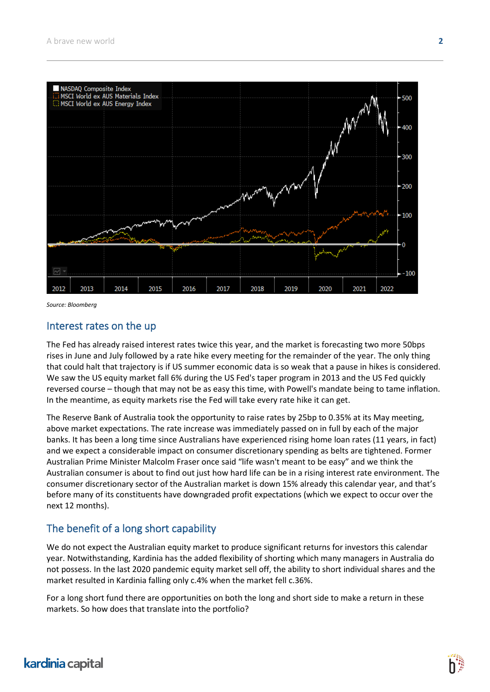

*Source: Bloomberg*

#### Interest rates on the up

The Fed has already raised interest rates twice this year, and the market is forecasting two more 50bps rises in June and July followed by a rate hike every meeting for the remainder of the year. The only thing that could halt that trajectory is if US summer economic data is so weak that a pause in hikes is considered. We saw the US equity market fall 6% during the US Fed's taper program in 2013 and the US Fed quickly reversed course – though that may not be as easy this time, with Powell's mandate being to tame inflation. In the meantime, as equity markets rise the Fed will take every rate hike it can get.

The Reserve Bank of Australia took the opportunity to raise rates by 25bp to 0.35% at its May meeting, above market expectations. The rate increase was immediately passed on in full by each of the major banks. It has been a long time since Australians have experienced rising home loan rates (11 years, in fact) and we expect a considerable impact on consumer discretionary spending as belts are tightened. Former Australian Prime Minister Malcolm Fraser once said "life wasn't meant to be easy" and we think the Australian consumer is about to find out just how hard life can be in a rising interest rate environment. The consumer discretionary sector of the Australian market is down 15% already this calendar year, and that's before many of its constituents have downgraded profit expectations (which we expect to occur over the next 12 months).

#### The benefit of a long short capability

We do not expect the Australian equity market to produce significant returns for investors this calendar year. Notwithstanding, Kardinia has the added flexibility of shorting which many managers in Australia do not possess. In the last 2020 pandemic equity market sell off, the ability to short individual shares and the market resulted in Kardinia falling only c.4% when the market fell c.36%.

For a long short fund there are opportunities on both the long and short side to make a return in these markets. So how does that translate into the portfolio?